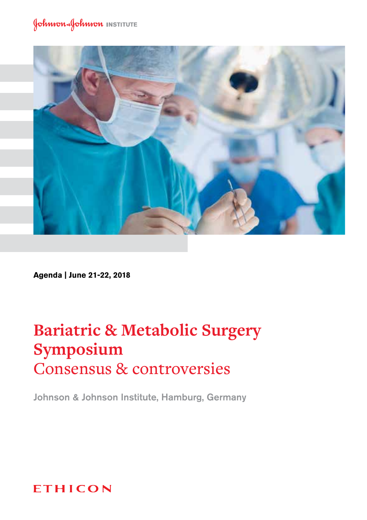

**Agenda | June 21-22, 2018**

# **Bariatric & Metabolic Surgery Symposium** Consensus & controversies

Johnson & Johnson Institute, Hamburg, Germany

## **ETHICON**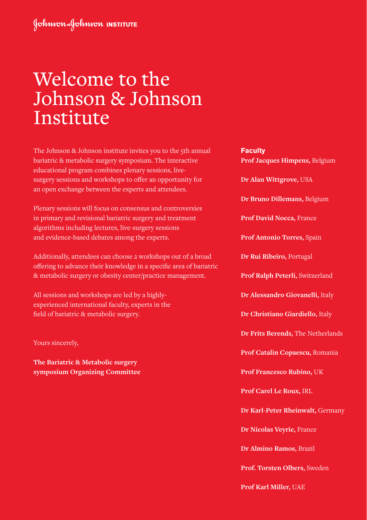# Welcome to the Johnson & Johnson Institute

The Johnson & Johnson institute invites you to the 5th annual bariatric & metabolic surgery symposium. The interactive educational program combines plenary sessions, livesurgery sessions and workshops to offer an opportunity for an open exchange between the experts and attendees.

Plenary sessions will focus on consensus and controversies in primary and revisional bariatric surgery and treatment algorithms including lectures, live-surgery sessions and evidence-based debates among the experts.

Additionally, attendees can choose 2 workshops out of a broad offering to advance their knowledge in a specific area of bariatric & metabolic surgery or obesity center/practice management.

All sessions and workshops are led by a highlyexperienced international faculty, experts in the field of bariatric & metabolic surgery.

Yours sincerely,

**The Bariatric & Metabolic surgery symposium Organizing Committee** **Faculty Prof Jacques Himpens,** Belgium **Dr Alan Wittgrove,** USA **Dr Bruno Dillemans,** Belgium **Prof David Nocca,** France **Prof Antonio Torres,** Spain **Dr Rui Ribeiro,** Portugal **Prof Ralph Peterli,** Switzerland **Dr Alessandro Giovanelli,** Italy **Dr Christiano Giardiello,** Italy **Dr Frits Berends,** The Netherlands **Prof Catalin Copaescu,** Romania **Prof Francesco Rubino,** UK **Prof Carel Le Roux,** IRL **Dr Karl-Peter Rheinwalt,** Germany **Dr Nicolas Veyrie,** France **Dr Almino Ramos,** Brazil **Prof. Torsten Olbers,** Sweden **Prof Karl Miller,** UAE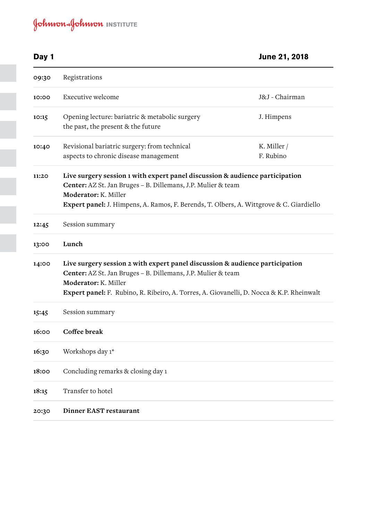## **Day 1 June 21, 2018 09:30** Registrations

| 09:30 | Registrations                                                                                                                                                                                                                                                           |                          |  |
|-------|-------------------------------------------------------------------------------------------------------------------------------------------------------------------------------------------------------------------------------------------------------------------------|--------------------------|--|
| 10:00 | Executive welcome                                                                                                                                                                                                                                                       | J&J - Chairman           |  |
| 10:15 | Opening lecture: bariatric & metabolic surgery<br>the past, the present & the future                                                                                                                                                                                    | J. Himpens               |  |
| 10:40 | Revisional bariatric surgery: from technical<br>aspects to chronic disease management                                                                                                                                                                                   | K. Miller /<br>F. Rubino |  |
| 11:20 | Live surgery session 1 with expert panel discussion & audience participation<br>Center: AZ St. Jan Bruges - B. Dillemans, J.P. Mulier & team<br>Moderator: K. Miller<br>Expert panel: J. Himpens, A. Ramos, F. Berends, T. Olbers, A. Wittgrove & C. Giardiello         |                          |  |
| 12:45 | Session summary                                                                                                                                                                                                                                                         |                          |  |
| 13:00 | Lunch                                                                                                                                                                                                                                                                   |                          |  |
| 14:00 | Live surgery session 2 with expert panel discussion & audience participation<br>Center: AZ St. Jan Bruges - B. Dillemans, J.P. Mulier & team<br>Moderator: K. Miller<br><b>Expert panel:</b> F. Rubino, R. Ribeiro, A. Torres, A. Giovanelli, D. Nocca & K.P. Rheinwalt |                          |  |
| 15:45 | Session summary                                                                                                                                                                                                                                                         |                          |  |
| 16:00 | Coffee break                                                                                                                                                                                                                                                            |                          |  |
| 16:30 | Workshops day 1*                                                                                                                                                                                                                                                        |                          |  |
| 18:00 | Concluding remarks & closing day 1                                                                                                                                                                                                                                      |                          |  |
| 18:15 | Transfer to hotel                                                                                                                                                                                                                                                       |                          |  |
| 20:30 | Dinner EAST restaurant                                                                                                                                                                                                                                                  |                          |  |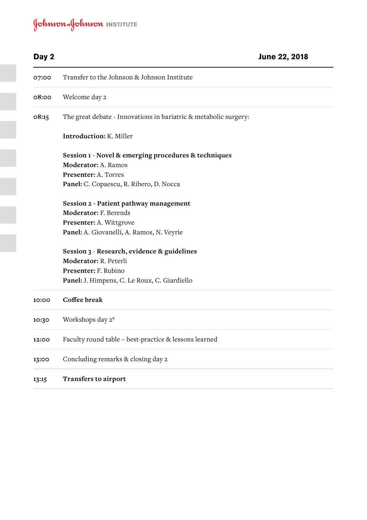| Day 2 |                                                                  | June 22, 2018 |
|-------|------------------------------------------------------------------|---------------|
| 07:00 | Transfer to the Johnson & Johnson Institute                      |               |
| 08:00 | Welcome day 2                                                    |               |
| 08:15 | The great debate - Innovations in bariatric & metabolic surgery: |               |
|       | <b>Introduction: K. Miller</b>                                   |               |
|       | Session 1 - Novel & emerging procedures & techniques             |               |
|       | Moderator: A. Ramos                                              |               |
|       | Presenter: A. Torres                                             |               |
|       | Panel: C. Copaescu, R. Ribero, D. Nocca                          |               |
|       | Session 2 - Patient pathway management                           |               |
|       | <b>Moderator: F. Berends</b>                                     |               |
|       | Presenter: A. Wittgrove                                          |               |
|       | Panel: A. Giovanelli, A. Ramos, N. Veyrie                        |               |
|       | Session 3 - Research, evidence & guidelines                      |               |
|       | Moderator: R. Peterli                                            |               |
|       | Presenter: F. Rubino                                             |               |
|       | Panel: J. Himpens, C. Le Roux, C. Giardiello                     |               |
| 10:00 | Coffee break                                                     |               |
| 10:30 | Workshops day 2*                                                 |               |
| 12:00 | Faculty round table - best-practice & lessons learned            |               |
| 13:00 | Concluding remarks & closing day 2                               |               |
| 13:15 | Transfers to airport                                             |               |
|       |                                                                  |               |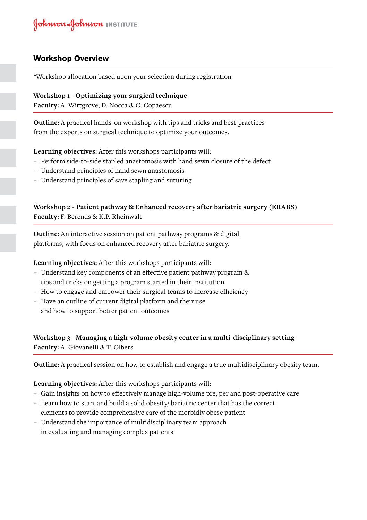#### **Workshop Overview**

\*Workshop allocation based upon your selection during registration

**Workshop 1 - Optimizing your surgical technique Faculty:** A. Wittgrove, D. Nocca & C. Copaescu

**Outline:** A practical hands-on workshop with tips and tricks and best-practices from the experts on surgical technique to optimize your outcomes.

**Learning objectives:** After this workshops participants will:

- − Perform side-to-side stapled anastomosis with hand sewn closure of the defect
- − Understand principles of hand sewn anastomosis
- − Understand principles of save stapling and suturing

#### **Workshop 2 - Patient pathway & Enhanced recovery after bariatric surgery (ERABS) Faculty:** F. Berends & K.P. Rheinwalt

**Outline:** An interactive session on patient pathway programs & digital platforms, with focus on enhanced recovery after bariatric surgery.

**Learning objectives:** After this workshops participants will:

- − Understand key components of an effective patient pathway program & tips and tricks on getting a program started in their institution
- − How to engage and empower their surgical teams to increase efficiency
- − Have an outline of current digital platform and their use and how to support better patient outcomes

#### **Workshop 3 - Managing a high-volume obesity center in a multi-disciplinary setting Faculty:** A. Giovanelli & T. Olbers

**Outline:** A practical session on how to establish and engage a true multidisciplinary obesity team.

#### **Learning objectives:** After this workshops participants will:

- − Gain insights on how to effectively manage high-volume pre, per and post-operative care
- − Learn how to start and build a solid obesity/ bariatric center that has the correct elements to provide comprehensive care of the morbidly obese patient
- − Understand the importance of multidisciplinary team approach in evaluating and managing complex patients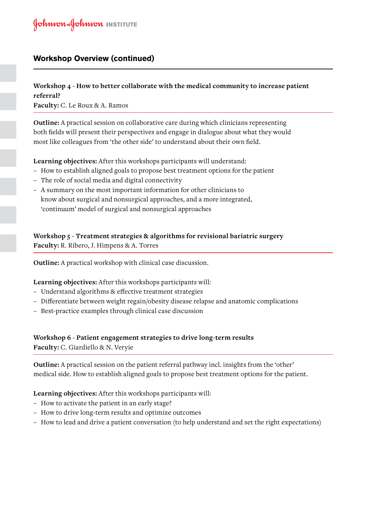#### **Workshop Overview (continued)**

#### **Workshop 4 - How to better collaborate with the medical community to increase patient referral? Faculty:** C. Le Roux & A. Ramos

**Outline:** A practical session on collaborative care during which clinicians representing both fields will present their perspectives and engage in dialogue about what they would most like colleagues from 'the other side' to understand about their own field.

**Learning objectives:** After this workshops participants will understand:

- − How to establish aligned goals to propose best treatment options for the patient
- − The role of social media and digital connectivity
- − A summary on the most important information for other clinicians to know about surgical and nonsurgical approaches, and a more integrated, 'continuum' model of surgical and nonsurgical approaches

**Workshop 5 - Treatment strategies & algorithms for revisional bariatric surgery Faculty:** R. Ribero, J. Himpens & A. Torres

**Outline:** A practical workshop with clinical case discussion.

#### **Learning objectives:** After this workshops participants will:

- − Understand algorithms & effective treatment strategies
- − Differentiate between weight regain/obesity disease relapse and anatomic complications
- − Best-practice examples through clinical case discussion

### **Workshop 6 - Patient engagement strategies to drive long-term results**

**Faculty:** C. Giardiello & N. Veryie

**Outline:** A practical session on the patient referral pathway incl. insights from the 'other' medical side. How to establish aligned goals to propose best treatment options for the patient.

#### **Learning objectives:** After this workshops participants will:

- − How to activate the patient in an early stage?
- − How to drive long-term results and optimize outcomes
- − How to lead and drive a patient conversation (to help understand and set the right expectations)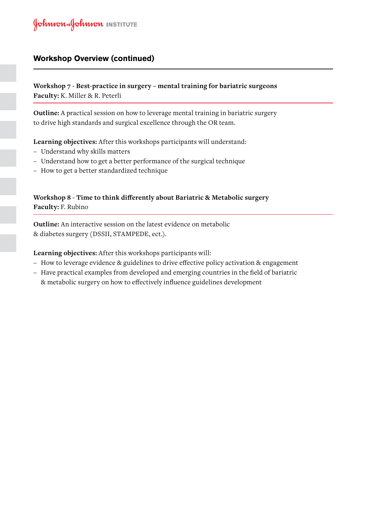#### **Workshop Overview (continued)**

**Workshop 7 - Best-practice in surgery – mental training for bariatric surgeons Faculty:** K. Miller & R. Peterli

**Outline:** A practical session on how to leverage mental training in bariatric surgery to drive high standards and surgical excellence through the OR team.

**Learning objectives:** After this workshops participants will understand:

- − Understand why skills matters
- − Understand how to get a better performance of the surgical technique
- − How to get a better standardized technique

#### **Workshop 8 - Time to think differently about Bariatric & Metabolic surgery Faculty:** F. Rubino

**Outline:** An interactive session on the latest evidence on metabolic & diabetes surgery (DSSII, STAMPEDE, ect.).

**Learning objectives:** After this workshops participants will:

- − How to leverage evidence & guidelines to drive effective policy activation & engagement
- − Have practical examples from developed and emerging countries in the field of bariatric & metabolic surgery on how to effectively influence guidelines development